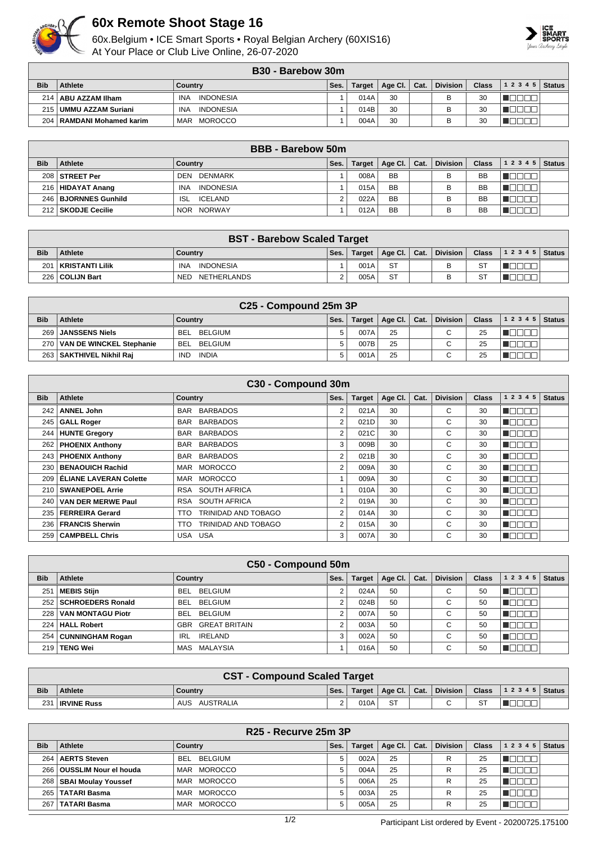

## **60x Remote Shoot Stage 16**

60x.Belgium • ICE Smart Sports • Royal Belgian Archery (60XIS16) At Your Place or Club Live Online, 26-07-2020



|            | <b>B30 - Barebow 30m</b>    |                                |      |        |         |      |                 |       |       |               |  |  |
|------------|-----------------------------|--------------------------------|------|--------|---------|------|-----------------|-------|-------|---------------|--|--|
| <b>Bib</b> | Athlete                     | Countrv                        | Ses. | Target | Age Cl. | Cat. | <b>Division</b> | Class | 12345 | <b>Status</b> |  |  |
|            | 214   ABU AZZAM IIham       | <b>INDONESIA</b><br><b>INA</b> |      | 014A   | 30      |      |                 | 30    |       |               |  |  |
| 215        | UMMU AZZAM Suriani          | <b>INDONESIA</b><br>INA        |      | 014B   | 30      |      |                 | 30    |       |               |  |  |
| 204        | l │ RAMDANI Mohamed karim ∣ | MOROCCO<br>MAR                 |      | 004A   | 30      |      |                 | 30    |       |               |  |  |

|            | <b>BBB</b> - Barebow 50m |                                |      |               |                 |      |                 |              |             |               |  |  |
|------------|--------------------------|--------------------------------|------|---------------|-----------------|------|-----------------|--------------|-------------|---------------|--|--|
| <b>Bib</b> | Athlete                  | Country                        | Ses. | <b>Target</b> | Age Cl. $\vert$ | Cat. | <b>Division</b> | <b>Class</b> | 1 2 3 4 5   | <b>Status</b> |  |  |
|            | 208 STREET Per           | DENMARK<br>DEN                 |      | 008A          | <b>BB</b>       |      | в               | <b>BB</b>    |             |               |  |  |
|            | 216   HIDAYAT Anang      | <b>INA</b><br><b>INDONESIA</b> |      | 015A          | <b>BB</b>       |      | В               | <b>BB</b>    | IN DO O     |               |  |  |
|            | 246   BJORNNES Gunhild   | <b>ISL</b><br>ICELAND          |      | 022A          | <b>BB</b>       |      | в               | <b>BB</b>    | - 11 - 11 - |               |  |  |
|            | 212   SKODJE Cecilie     | NOR NORWAY                     |      | 012A          | <b>BB</b>       |      | в               | BB           |             |               |  |  |

| <b>BST - Barebow Scaled Target</b> |                        |                           |      |        |                      |  |                 |              |                          |  |  |
|------------------------------------|------------------------|---------------------------|------|--------|----------------------|--|-----------------|--------------|--------------------------|--|--|
| <b>Bib</b>                         | <b>Athlete</b>         | Country                   | Ses. | Target | Age Cl. $\vert$ Cat. |  | <b>Division</b> | <b>Class</b> | ,   1 2 3 4 5   Status / |  |  |
| 201                                | <b>KRISTANTI Lilik</b> | INDONESIA<br><b>INA</b>   |      | 001A   | <b>ST</b>            |  |                 | ST           |                          |  |  |
|                                    | 226   COLIJN Bart      | NETHERLANDS<br><b>NED</b> |      | 005A   | <b>ST</b>            |  |                 | ST           |                          |  |  |

| C <sub>25</sub> - Compound 25m 3P |                          |                       |      |        |                |  |                          |              |       |        |
|-----------------------------------|--------------------------|-----------------------|------|--------|----------------|--|--------------------------|--------------|-------|--------|
| <b>Bib</b>                        | Athlete                  | Country               | Ses. | Target | Age Cl.   Cat. |  | <b>Division</b>          | <b>Class</b> | 12345 | Status |
| 269                               | <b>JANSSENS Niels</b>    | BELGIUM<br>BEL        | 5    | 007A   | 25             |  | $\overline{\phantom{0}}$ | 25           |       |        |
| 270 <sub>1</sub>                  | VAN DE WINCKEL Stephanie | BELGIUM<br><b>BEL</b> | 5    | 007B   | 25             |  | $\overline{\phantom{0}}$ | 25           |       |        |
| 263                               | SAKTHIVEL Nikhil Raj     | INDIA<br><b>IND</b>   | 5    | 001A   | 25             |  | $\overline{\phantom{0}}$ | 25           |       |        |

| C30 - Compound 30m |                           |                             |                |               |         |      |                 |              |           |               |  |
|--------------------|---------------------------|-----------------------------|----------------|---------------|---------|------|-----------------|--------------|-----------|---------------|--|
| <b>Bib</b>         | Athlete                   | Country                     | Ses.           | <b>Target</b> | Age Cl. | Cat. | <b>Division</b> | <b>Class</b> | 1 2 3 4 5 | <b>Status</b> |  |
| 242                | <b>ANNEL John</b>         | <b>BARBADOS</b><br>BAR      | 2              | 021A          | 30      |      | C               | 30           | H H       |               |  |
| 245                | <b>GALL Roger</b>         | <b>BARBADOS</b><br>BAR      | 2              | 021D          | 30      |      | C.              | 30           | H T       |               |  |
| 244                | <b>HUNTE Gregory</b>      | BARBADOS<br>BAR             | 2              | 021C          | 30      |      | С               | 30           | H H       |               |  |
|                    | 262   PHOENIX Anthony     | BAR BARBADOS                | 3              | 009B          | 30      |      | C               | 30           | -I T      |               |  |
|                    | 243   PHOENIX Anthony     | BAR BARBADOS                | $\overline{2}$ | 021B          | 30      |      | C               | 30           | HT I      |               |  |
| 230                | BENAOUICH Rachid          | MAR MOROCCO                 | 2              | 009A          | 30      |      | С               | 30           | - 10 I    |               |  |
| 209                | ELIANE LAVERAN Colette    | <b>MOROCCO</b><br>MAR       |                | 009A          | 30      |      | C               | 30           |           |               |  |
|                    | 210   SWANEPOEL Arrie     | SOUTH AFRICA<br>RSA         |                | 010A          | 30      |      | C               | 30           | - 11      |               |  |
| 240 l              | <b>VAN DER MERWE Paul</b> | SOUTH AFRICA<br>RSA         | 2              | 019A          | 30      |      | C.              | 30           | TOOON     |               |  |
| 235                | FERREIRA Gerard           | TRINIDAD AND TOBAGO<br>TTO. | 2              | 014A          | 30      |      | C.              | 30           | 88 H      |               |  |
|                    | 236   FRANCIS Sherwin     | TRINIDAD AND TOBAGO<br>TTO  | 2              | 015A          | 30      |      | C               | 30           | TOOOL     |               |  |
| 259                | <b>CAMPBELL Chris</b>     | USA USA                     | 3              | 007A          | 30      |      | C               | 30           | HH.       |               |  |

|                  | C50 - Compound 50m       |                              |      |               |         |      |                 |              |           |               |  |  |
|------------------|--------------------------|------------------------------|------|---------------|---------|------|-----------------|--------------|-----------|---------------|--|--|
| <b>Bib</b>       | Athlete                  | Country                      | Ses. | <b>Target</b> | Age CI. | Cat. | <b>Division</b> | <b>Class</b> | 1 2 3 4 5 | <b>Status</b> |  |  |
| 25'              | <b>MEBIS Stiin</b>       | <b>BELGIUM</b><br><b>BEL</b> |      | 024A          | 50      |      | $\sim$<br>U     | 50           | TN F      |               |  |  |
| 252              | <b>SCHROEDERS Ronald</b> | BELGIUM<br><b>BEL</b>        |      | 024B          | 50      |      | $\sim$<br>U     | 50           | TOOON     |               |  |  |
| 228              | <b>VAN MONTAGU Piotr</b> | <b>BELGIUM</b><br><b>BEL</b> |      | 007A          | 50      |      | $\sim$          | 50           | 70 O      |               |  |  |
| 224              | HALL Robert              | <b>GREAT BRITAIN</b><br>GBR  |      | 003A          | 50      |      | ⌒<br>◡          | 50           | 70 D      |               |  |  |
| 254              | <b>CUNNINGHAM Rogan</b>  | <b>IRELAND</b><br><b>IRL</b> | 3    | 002A          | 50      |      | $\sim$          | 50           | nnnn      |               |  |  |
| 219 <sup>1</sup> | <b>TENG Wei</b>          | MALAYSIA<br>MAS              |      | 016A          | 50      |      | $\sim$<br>U     | 50           | TET       |               |  |  |

|            | <b>CST - Compound Scaled Target</b> |                  |        |        |                                   |  |        |  |                                       |  |  |
|------------|-------------------------------------|------------------|--------|--------|-----------------------------------|--|--------|--|---------------------------------------|--|--|
| <b>Bib</b> | Athlete                             | Country          | Ses.   | Target | $\Box$ Age Cl. $\Box$ Cat. $\Box$ |  |        |  | Division   Class   1 2 3 4 5   Status |  |  |
| 231        | <b>IRVINE Russ</b>                  | AUSTRALIA<br>AUS | $\sim$ | 010A   | <b>ST</b>                         |  | $\sim$ |  |                                       |  |  |

|            | R <sub>25</sub> - Recurve 25m 3P |                              |      |        |                 |      |                 |              |       |               |  |  |
|------------|----------------------------------|------------------------------|------|--------|-----------------|------|-----------------|--------------|-------|---------------|--|--|
| <b>Bib</b> | <b>Athlete</b>                   | Country                      | Ses. | Target | Age Cl. $\vert$ | Cat. | <b>Division</b> | <b>Class</b> | 12345 | <b>Status</b> |  |  |
|            | 264   AERTS Steven               | BELGIUM<br><b>BEL</b>        | 5    | 002A   | 25              |      | R               | 25           | חחרי  |               |  |  |
|            | 266   OUSSLIM Nour el houda      | <b>MOROCCO</b><br><b>MAR</b> | 5    | 004A   | 25              |      | R               | 25           |       |               |  |  |
|            | 268   SBAI Moulay Youssef        | <b>MOROCCO</b><br>MAR        |      | 006A   | 25              |      | R               | 25           |       |               |  |  |
|            | 265   TATARI Basma               | <b>MOROCCO</b><br><b>MAR</b> |      | 003A   | 25              |      | R               | 25           |       |               |  |  |
| 267        | <b>TATARI Basma</b>              | <b>MOROCCO</b><br>MAR        |      | 005A   | 25              |      | R               | 25           |       |               |  |  |